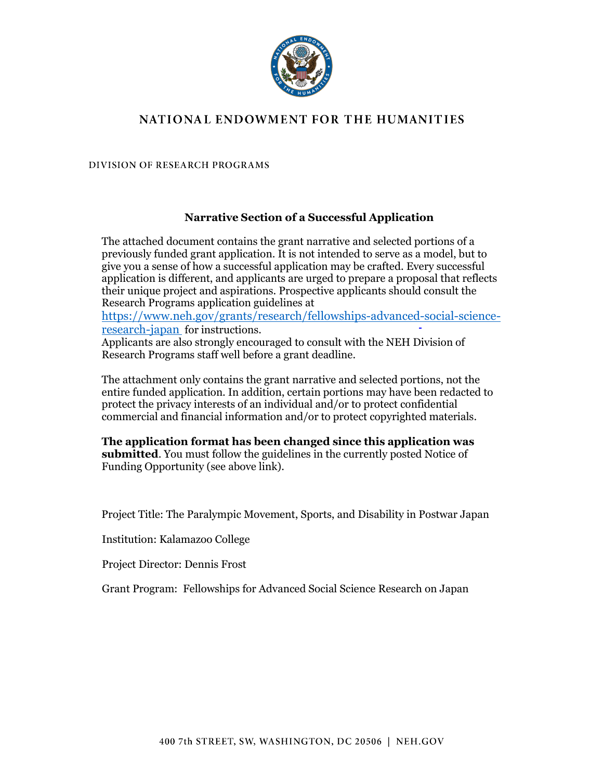

# NATIONAL ENDOWMENT FOR THE HUMANITIES

**DIVISION OF RESEARCH PROGRAMS** 

## **Narrative Section of a Successful Application**

The attached document contains the grant narrative and selected portions of a previously funded grant application. It is not intended to serve as a model, but to give you a sense of how a successful application may be crafted. Every successful application is different, and applicants are urged to prepare a proposal that reflects their unique project and aspirations. Prospective applicants should consult the Research Programs application guidelines at

[https://www.neh.gov/grants/research/fellowships-advanced-social-science](https://www.neh.gov/grants/research/fellowships-advanced-social-science-research-japan)[research-japan](https://www.neh.gov/grants/research/fellowships-advanced-social-science-research-japan) for instructions.

Applicants are also strongly encouraged to consult with the NEH Division of Research Programs staff well before a grant deadline.

The attachment only contains the grant narrative and selected portions, not the entire funded application. In addition, certain portions may have been redacted to protect the privacy interests of an individual and/or to protect confidential commercial and financial information and/or to protect copyrighted materials.

**The application format has been changed since this application was submitted**. You must follow the guidelines in the currently posted Notice of Funding Opportunity (see above link).

Project Title: The Paralympic Movement, Sports, and Disability in Postwar Japan

Institution: Kalamazoo College

Project Director: Dennis Frost

Grant Program: Fellowships for Advanced Social Science Research on Japan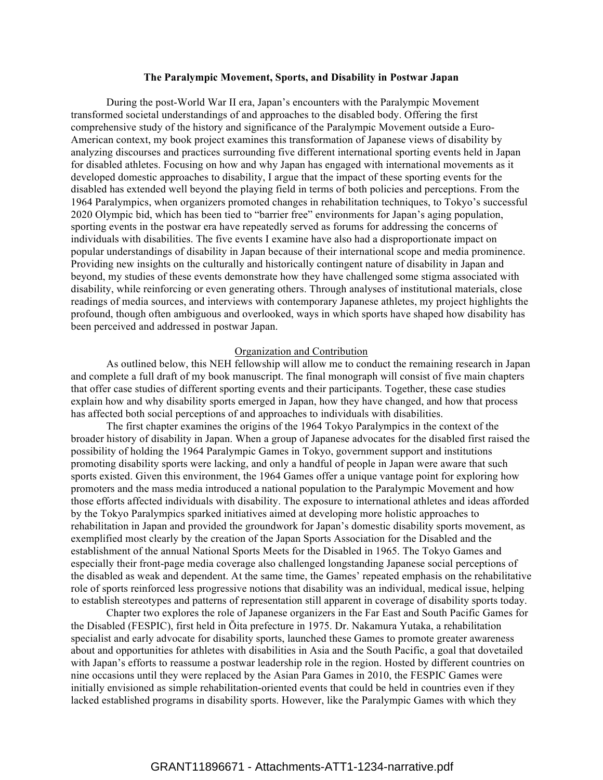### **The Paralympic Movement, Sports, and Disability in Postwar Japan**

During the post-World War II era, Japan's encounters with the Paralympic Movement transformed societal understandings of and approaches to the disabled body. Offering the first comprehensive study of the history and significance of the Paralympic Movement outside a Euro-American context, my book project examines this transformation of Japanese views of disability by analyzing discourses and practices surrounding five different international sporting events held in Japan for disabled athletes. Focusing on how and why Japan has engaged with international movements as it developed domestic approaches to disability, I argue that the impact of these sporting events for the disabled has extended well beyond the playing field in terms of both policies and perceptions. From the 1964 Paralympics, when organizers promoted changes in rehabilitation techniques, to Tokyo's successful 2020 Olympic bid, which has been tied to "barrier free" environments for Japan's aging population, sporting events in the postwar era have repeatedly served as forums for addressing the concerns of individuals with disabilities. The five events I examine have also had a disproportionate impact on popular understandings of disability in Japan because of their international scope and media prominence. Providing new insights on the culturally and historically contingent nature of disability in Japan and beyond, my studies of these events demonstrate how they have challenged some stigma associated with disability, while reinforcing or even generating others. Through analyses of institutional materials, close readings of media sources, and interviews with contemporary Japanese athletes, my project highlights the profound, though often ambiguous and overlooked, ways in which sports have shaped how disability has been perceived and addressed in postwar Japan.

#### Organization and Contribution

As outlined below, this NEH fellowship will allow me to conduct the remaining research in Japan and complete a full draft of my book manuscript. The final monograph will consist of five main chapters that offer case studies of different sporting events and their participants. Together, these case studies explain how and why disability sports emerged in Japan, how they have changed, and how that process has affected both social perceptions of and approaches to individuals with disabilities.

The first chapter examines the origins of the 1964 Tokyo Paralympics in the context of the broader history of disability in Japan. When a group of Japanese advocates for the disabled first raised the possibility of holding the 1964 Paralympic Games in Tokyo, government support and institutions promoting disability sports were lacking, and only a handful of people in Japan were aware that such sports existed. Given this environment, the 1964 Games offer a unique vantage point for exploring how promoters and the mass media introduced a national population to the Paralympic Movement and how those efforts affected individuals with disability. The exposure to international athletes and ideas afforded by the Tokyo Paralympics sparked initiatives aimed at developing more holistic approaches to rehabilitation in Japan and provided the groundwork for Japan's domestic disability sports movement, as exemplified most clearly by the creation of the Japan Sports Association for the Disabled and the establishment of the annual National Sports Meets for the Disabled in 1965. The Tokyo Games and especially their front-page media coverage also challenged longstanding Japanese social perceptions of the disabled as weak and dependent. At the same time, the Games' repeated emphasis on the rehabilitative role of sports reinforced less progressive notions that disability was an individual, medical issue, helping to establish stereotypes and patterns of representation still apparent in coverage of disability sports today.

Chapter two explores the role of Japanese organizers in the Far East and South Pacific Games for the Disabled (FESPIC), first held in Ōita prefecture in 1975. Dr. Nakamura Yutaka, a rehabilitation specialist and early advocate for disability sports, launched these Games to promote greater awareness about and opportunities for athletes with disabilities in Asia and the South Pacific, a goal that dovetailed with Japan's efforts to reassume a postwar leadership role in the region. Hosted by different countries on nine occasions until they were replaced by the Asian Para Games in 2010, the FESPIC Games were initially envisioned as simple rehabilitation-oriented events that could be held in countries even if they lacked established programs in disability sports. However, like the Paralympic Games with which they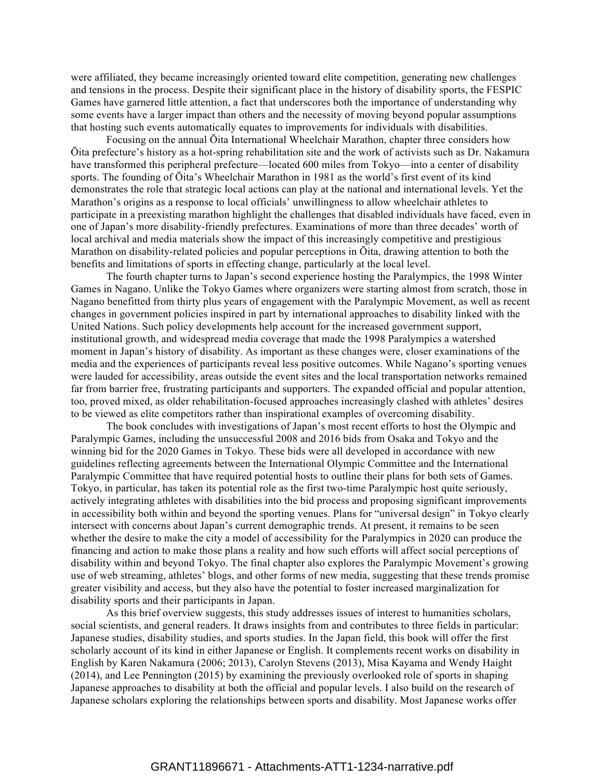were affiliated, they became increasingly oriented toward elite competition, generating new challenges and tensions in the process. Despite their significant place in the history of disability sports, the FESPIC Games have garnered little attention, a fact that underscores both the importance of understanding why some events have a larger impact than others and the necessity of moving beyond popular assumptions that hosting such events automatically equates to improvements for individuals with disabilities.

Focusing on the annual Ōita International Wheelchair Marathon, chapter three considers how Ōita prefecture's history as a hot-spring rehabilitation site and the work of activists such as Dr. Nakamura have transformed this peripheral prefecture—located 600 miles from Tokyo—into a center of disability sports. The founding of Ōita's Wheelchair Marathon in 1981 as the world's first event of its kind demonstrates the role that strategic local actions can play at the national and international levels. Yet the Marathon's origins as a response to local officials' unwillingness to allow wheelchair athletes to participate in a preexisting marathon highlight the challenges that disabled individuals have faced, even in one of Japan's more disability-friendly prefectures. Examinations of more than three decades' worth of local archival and media materials show the impact of this increasingly competitive and prestigious Marathon on disability-related policies and popular perceptions in Ōita, drawing attention to both the benefits and limitations of sports in effecting change, particularly at the local level.

The fourth chapter turns to Japan's second experience hosting the Paralympics, the 1998 Winter Games in Nagano. Unlike the Tokyo Games where organizers were starting almost from scratch, those in Nagano benefitted from thirty plus years of engagement with the Paralympic Movement, as well as recent changes in government policies inspired in part by international approaches to disability linked with the United Nations. Such policy developments help account for the increased government support, institutional growth, and widespread media coverage that made the 1998 Paralympics a watershed moment in Japan's history of disability. As important as these changes were, closer examinations of the media and the experiences of participants reveal less positive outcomes. While Nagano's sporting venues were lauded for accessibility, areas outside the event sites and the local transportation networks remained far from barrier free, frustrating participants and supporters. The expanded official and popular attention, too, proved mixed, as older rehabilitation-focused approaches increasingly clashed with athletes' desires to be viewed as elite competitors rather than inspirational examples of overcoming disability.

The book concludes with investigations of Japan's most recent efforts to host the Olympic and Paralympic Games, including the unsuccessful 2008 and 2016 bids from Osaka and Tokyo and the winning bid for the 2020 Games in Tokyo. These bids were all developed in accordance with new guidelines reflecting agreements between the International Olympic Committee and the International Paralympic Committee that have required potential hosts to outline their plans for both sets of Games. Tokyo, in particular, has taken its potential role as the first two-time Paralympic host quite seriously, actively integrating athletes with disabilities into the bid process and proposing significant improvements in accessibility both within and beyond the sporting venues. Plans for "universal design" in Tokyo clearly intersect with concerns about Japan's current demographic trends. At present, it remains to be seen whether the desire to make the city a model of accessibility for the Paralympics in 2020 can produce the financing and action to make those plans a reality and how such efforts will affect social perceptions of disability within and beyond Tokyo. The final chapter also explores the Paralympic Movement's growing use of web streaming, athletes' blogs, and other forms of new media, suggesting that these trends promise greater visibility and access, but they also have the potential to foster increased marginalization for disability sports and their participants in Japan.

As this brief overview suggests, this study addresses issues of interest to humanities scholars, social scientists, and general readers. It draws insights from and contributes to three fields in particular: Japanese studies, disability studies, and sports studies. In the Japan field, this book will offer the first scholarly account of its kind in either Japanese or English. It complements recent works on disability in English by Karen Nakamura (2006; 2013), Carolyn Stevens (2013), Misa Kayama and Wendy Haight (2014), and Lee Pennington (2015) by examining the previously overlooked role of sports in shaping Japanese approaches to disability at both the official and popular levels. I also build on the research of Japanese scholars exploring the relationships between sports and disability. Most Japanese works offer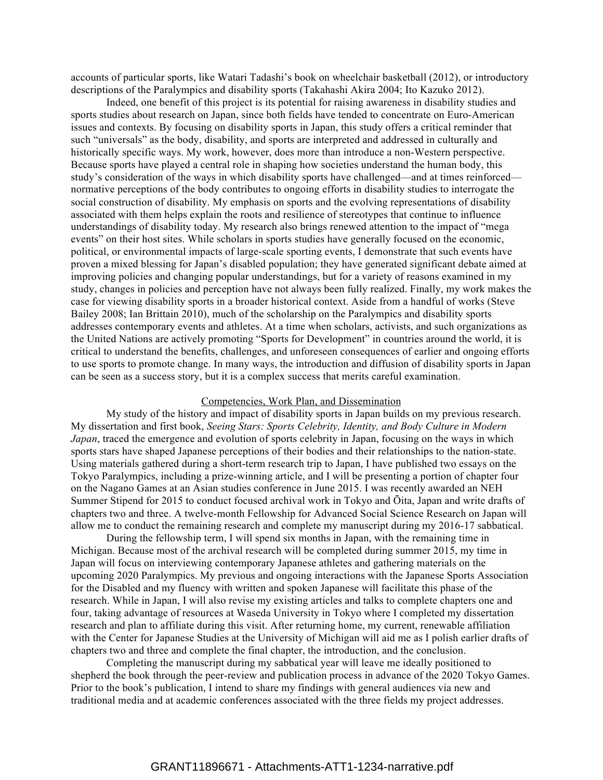accounts of particular sports, like Watari Tadashi's book on wheelchair basketball (2012), or introductory descriptions of the Paralympics and disability sports (Takahashi Akira 2004; Ito Kazuko 2012).

Indeed, one benefit of this project is its potential for raising awareness in disability studies and sports studies about research on Japan, since both fields have tended to concentrate on Euro-American issues and contexts. By focusing on disability sports in Japan, this study offers a critical reminder that such "universals" as the body, disability, and sports are interpreted and addressed in culturally and historically specific ways. My work, however, does more than introduce a non-Western perspective. Because sports have played a central role in shaping how societies understand the human body, this study's consideration of the ways in which disability sports have challenged—and at times reinforced normative perceptions of the body contributes to ongoing efforts in disability studies to interrogate the social construction of disability. My emphasis on sports and the evolving representations of disability associated with them helps explain the roots and resilience of stereotypes that continue to influence understandings of disability today. My research also brings renewed attention to the impact of "mega events" on their host sites. While scholars in sports studies have generally focused on the economic, political, or environmental impacts of large-scale sporting events, I demonstrate that such events have proven a mixed blessing for Japan's disabled population; they have generated significant debate aimed at improving policies and changing popular understandings, but for a variety of reasons examined in my study, changes in policies and perception have not always been fully realized. Finally, my work makes the case for viewing disability sports in a broader historical context. Aside from a handful of works (Steve Bailey 2008; Ian Brittain 2010), much of the scholarship on the Paralympics and disability sports addresses contemporary events and athletes. At a time when scholars, activists, and such organizations as the United Nations are actively promoting "Sports for Development" in countries around the world, it is critical to understand the benefits, challenges, and unforeseen consequences of earlier and ongoing efforts to use sports to promote change. In many ways, the introduction and diffusion of disability sports in Japan can be seen as a success story, but it is a complex success that merits careful examination.

### Competencies, Work Plan, and Dissemination

My study of the history and impact of disability sports in Japan builds on my previous research. My dissertation and first book, *Seeing Stars: Sports Celebrity, Identity, and Body Culture in Modern Japan*, traced the emergence and evolution of sports celebrity in Japan, focusing on the ways in which sports stars have shaped Japanese perceptions of their bodies and their relationships to the nation-state. Using materials gathered during a short-term research trip to Japan, I have published two essays on the Tokyo Paralympics, including a prize-winning article, and I will be presenting a portion of chapter four on the Nagano Games at an Asian studies conference in June 2015. I was recently awarded an NEH Summer Stipend for 2015 to conduct focused archival work in Tokyo and Ōita, Japan and write drafts of chapters two and three. A twelve-month Fellowship for Advanced Social Science Research on Japan will allow me to conduct the remaining research and complete my manuscript during my 2016-17 sabbatical.

During the fellowship term, I will spend six months in Japan, with the remaining time in Michigan. Because most of the archival research will be completed during summer 2015, my time in Japan will focus on interviewing contemporary Japanese athletes and gathering materials on the upcoming 2020 Paralympics. My previous and ongoing interactions with the Japanese Sports Association for the Disabled and my fluency with written and spoken Japanese will facilitate this phase of the research. While in Japan, I will also revise my existing articles and talks to complete chapters one and four, taking advantage of resources at Waseda University in Tokyo where I completed my dissertation research and plan to affiliate during this visit. After returning home, my current, renewable affiliation with the Center for Japanese Studies at the University of Michigan will aid me as I polish earlier drafts of chapters two and three and complete the final chapter, the introduction, and the conclusion.

Completing the manuscript during my sabbatical year will leave me ideally positioned to shepherd the book through the peer-review and publication process in advance of the 2020 Tokyo Games. Prior to the book's publication, I intend to share my findings with general audiences via new and traditional media and at academic conferences associated with the three fields my project addresses.